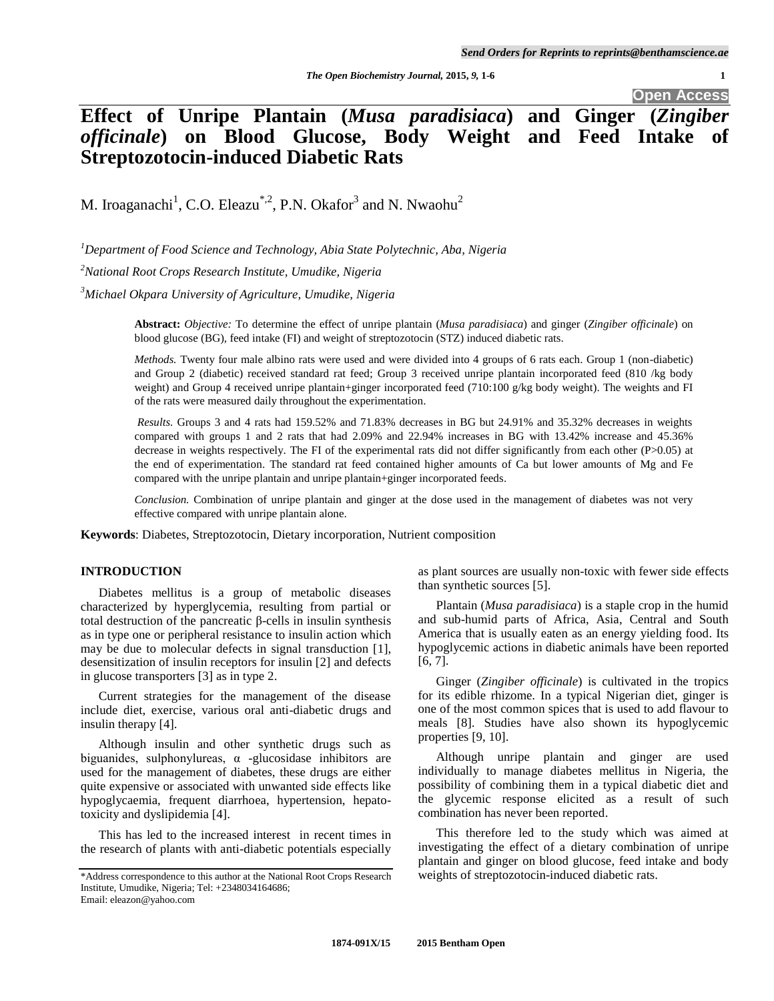**Open Access**

# **Effect of Unripe Plantain (***Musa paradisiaca***) and Ginger (***Zingiber officinale***) on Blood Glucose, Body Weight and Feed Intake of Streptozotocin-induced Diabetic Rats**

M. Iroaganachi<sup>1</sup>, C.O. Eleazu<sup>\*,2</sup>, P.N. Okafor<sup>3</sup> and N. Nwaohu<sup>2</sup>

*<sup>1</sup>Department of Food Science and Technology, Abia State Polytechnic, Aba, Nigeria*

*<sup>2</sup>National Root Crops Research Institute, Umudike, Nigeria*

*<sup>3</sup>Michael Okpara University of Agriculture, Umudike, Nigeria*

**Abstract:** *Objective:* To determine the effect of unripe plantain (*Musa paradisiaca*) and ginger (*Zingiber officinale*) on blood glucose (BG), feed intake (FI) and weight of streptozotocin (STZ) induced diabetic rats.

*Methods.* Twenty four male albino rats were used and were divided into 4 groups of 6 rats each. Group 1 (non-diabetic) and Group 2 (diabetic) received standard rat feed; Group 3 received unripe plantain incorporated feed (810 /kg body weight) and Group 4 received unripe plantain+ginger incorporated feed (710:100 g/kg body weight). The weights and FI of the rats were measured daily throughout the experimentation.

*Results.* Groups 3 and 4 rats had 159.52% and 71.83% decreases in BG but 24.91% and 35.32% decreases in weights compared with groups 1 and 2 rats that had 2.09% and 22.94% increases in BG with 13.42% increase and 45.36% decrease in weights respectively. The FI of the experimental rats did not differ significantly from each other (P>0.05) at the end of experimentation. The standard rat feed contained higher amounts of Ca but lower amounts of Mg and Fe compared with the unripe plantain and unripe plantain+ginger incorporated feeds.

*Conclusion.* Combination of unripe plantain and ginger at the dose used in the management of diabetes was not very effective compared with unripe plantain alone.

**Keywords**: Diabetes, Streptozotocin, Dietary incorporation, Nutrient composition

# **INTRODUCTION**

Diabetes mellitus is a group of metabolic diseases characterized by hyperglycemia, resulting from partial or total destruction of the pancreatic β-cells in insulin synthesis as in type one or peripheral resistance to insulin action which may be due to molecular defects in signal transduction [1], desensitization of insulin receptors for insulin [2] and defects in glucose transporters [3] as in type 2.

Current strategies for the management of the disease include diet, exercise, various oral anti-diabetic drugs and insulin therapy [4].

Although insulin and other synthetic drugs such as biguanides, sulphonylureas, α -glucosidase inhibitors are used for the management of diabetes, these drugs are either quite expensive or associated with unwanted side effects like hypoglycaemia, frequent diarrhoea, hypertension, hepatotoxicity and dyslipidemia [4].

This has led to the increased interest in recent times in the research of plants with anti-diabetic potentials especially

as plant sources are usually non-toxic with fewer side effects than synthetic sources [5].

Plantain (*Musa paradisiaca*) is a staple crop in the humid and sub-humid parts of Africa, Asia, Central and South America that is usually eaten as an energy yielding food. Its hypoglycemic actions in diabetic animals have been reported [6, 7].

Ginger (*Zingiber officinale*) is cultivated in the tropics for its edible rhizome. In a typical Nigerian diet, ginger is one of the most common spices that is used to add flavour to meals [8]. Studies have also shown its hypoglycemic properties [9, 10].

Although unripe plantain and ginger are used individually to manage diabetes mellitus in Nigeria, the possibility of combining them in a typical diabetic diet and the glycemic response elicited as a result of such combination has never been reported.

This therefore led to the study which was aimed at investigating the effect of a dietary combination of unripe plantain and ginger on blood glucose, feed intake and body weights of streptozotocin-induced diabetic rats.

<sup>\*</sup>Address correspondence to this author at the National Root Crops Research Institute, Umudike, Nigeria; Tel: +2348034164686; Email: eleazon@yahoo.com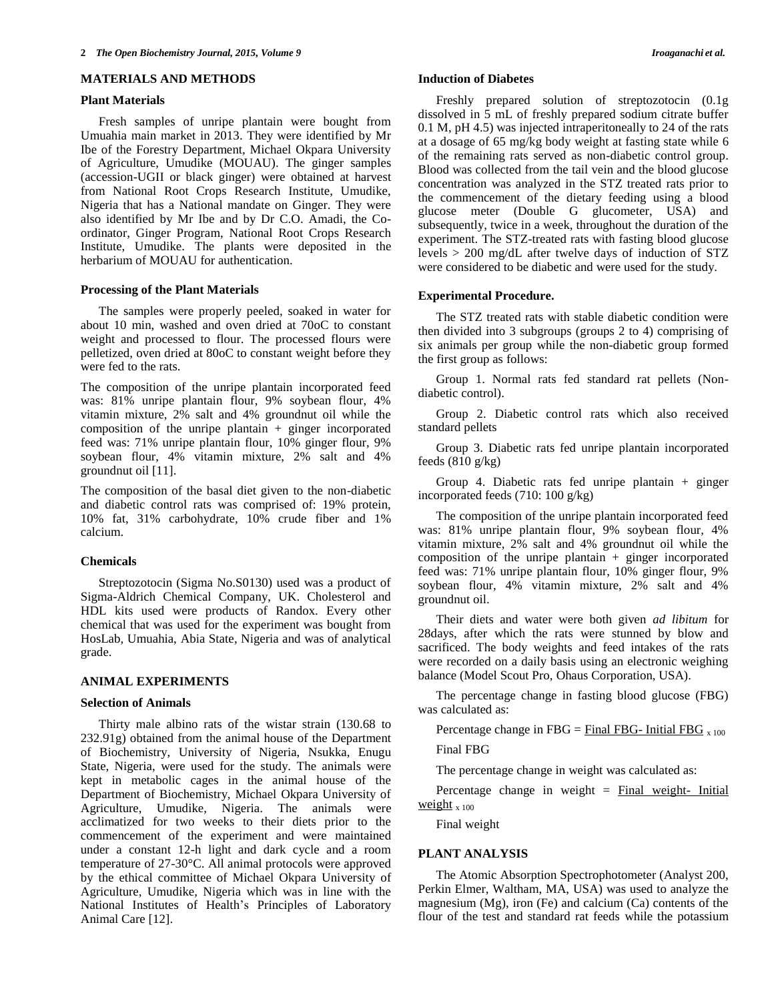# **MATERIALS AND METHODS**

## **Plant Materials**

Fresh samples of unripe plantain were bought from Umuahia main market in 2013. They were identified by Mr Ibe of the Forestry Department, Michael Okpara University of Agriculture, Umudike (MOUAU). The ginger samples (accession-UGII or black ginger) were obtained at harvest from National Root Crops Research Institute, Umudike, Nigeria that has a National mandate on Ginger. They were also identified by Mr Ibe and by Dr C.O. Amadi, the Coordinator, Ginger Program, National Root Crops Research Institute, Umudike. The plants were deposited in the herbarium of MOUAU for authentication.

## **Processing of the Plant Materials**

The samples were properly peeled, soaked in water for about 10 min, washed and oven dried at 70oC to constant weight and processed to flour. The processed flours were pelletized, oven dried at 80oC to constant weight before they were fed to the rats.

The composition of the unripe plantain incorporated feed was: 81% unripe plantain flour, 9% soybean flour, 4% vitamin mixture, 2% salt and 4% groundnut oil while the composition of the unripe plantain + ginger incorporated feed was: 71% unripe plantain flour, 10% ginger flour, 9% soybean flour, 4% vitamin mixture, 2% salt and 4% groundnut oil [11].

The composition of the basal diet given to the non-diabetic and diabetic control rats was comprised of: 19% protein, 10% fat, 31% carbohydrate, 10% crude fiber and 1% calcium.

## **Chemicals**

Streptozotocin (Sigma No.S0130) used was a product of Sigma-Aldrich Chemical Company, UK. Cholesterol and HDL kits used were products of Randox. Every other chemical that was used for the experiment was bought from HosLab, Umuahia, Abia State, Nigeria and was of analytical grade.

# **ANIMAL EXPERIMENTS**

## **Selection of Animals**

Thirty male albino rats of the wistar strain (130.68 to 232.91g) obtained from the animal house of the Department of Biochemistry, University of Nigeria, Nsukka, Enugu State, Nigeria, were used for the study. The animals were kept in metabolic cages in the animal house of the Department of Biochemistry, Michael Okpara University of Agriculture, Umudike, Nigeria. The animals were acclimatized for two weeks to their diets prior to the commencement of the experiment and were maintained under a constant 12-h light and dark cycle and a room temperature of 27-30°C. All animal protocols were approved by the ethical committee of Michael Okpara University of Agriculture, Umudike, Nigeria which was in line with the National Institutes of Health's Principles of Laboratory Animal Care [12].

## **Induction of Diabetes**

Freshly prepared solution of streptozotocin (0.1g dissolved in 5 mL of freshly prepared sodium citrate buffer 0.1 M, pH 4.5) was injected intraperitoneally to 24 of the rats at a dosage of 65 mg/kg body weight at fasting state while 6 of the remaining rats served as non-diabetic control group. Blood was collected from the tail vein and the blood glucose concentration was analyzed in the STZ treated rats prior to the commencement of the dietary feeding using a blood glucose meter (Double G glucometer, USA) and subsequently, twice in a week, throughout the duration of the experiment. The STZ-treated rats with fasting blood glucose levels > 200 mg/dL after twelve days of induction of STZ were considered to be diabetic and were used for the study.

#### **Experimental Procedure.**

The STZ treated rats with stable diabetic condition were then divided into 3 subgroups (groups 2 to 4) comprising of six animals per group while the non-diabetic group formed the first group as follows:

Group 1. Normal rats fed standard rat pellets (Nondiabetic control).

Group 2. Diabetic control rats which also received standard pellets

Group 3. Diabetic rats fed unripe plantain incorporated feeds  $(810 \text{ g/kg})$ 

Group 4. Diabetic rats fed unripe plantain + ginger incorporated feeds (710: 100 g/kg)

The composition of the unripe plantain incorporated feed was: 81% unripe plantain flour, 9% soybean flour, 4% vitamin mixture, 2% salt and 4% groundnut oil while the composition of the unripe plantain  $+$  ginger incorporated feed was: 71% unripe plantain flour, 10% ginger flour, 9% soybean flour, 4% vitamin mixture, 2% salt and 4% groundnut oil.

Their diets and water were both given *ad libitum* for 28days, after which the rats were stunned by blow and sacrificed. The body weights and feed intakes of the rats were recorded on a daily basis using an electronic weighing balance (Model Scout Pro, Ohaus Corporation, USA).

The percentage change in fasting blood glucose (FBG) was calculated as:

Percentage change in FBG = Final FBG- Initial FBG  $_{x,100}$ 

Final FBG

The percentage change in weight was calculated as:

Percentage change in weight  $=$  Final weight- Initial weight  $x 100$ 

Final weight

## **PLANT ANALYSIS**

The Atomic Absorption Spectrophotometer (Analyst 200, Perkin Elmer, Waltham, MA, USA) was used to analyze the magnesium (Mg), iron (Fe) and calcium (Ca) contents of the flour of the test and standard rat feeds while the potassium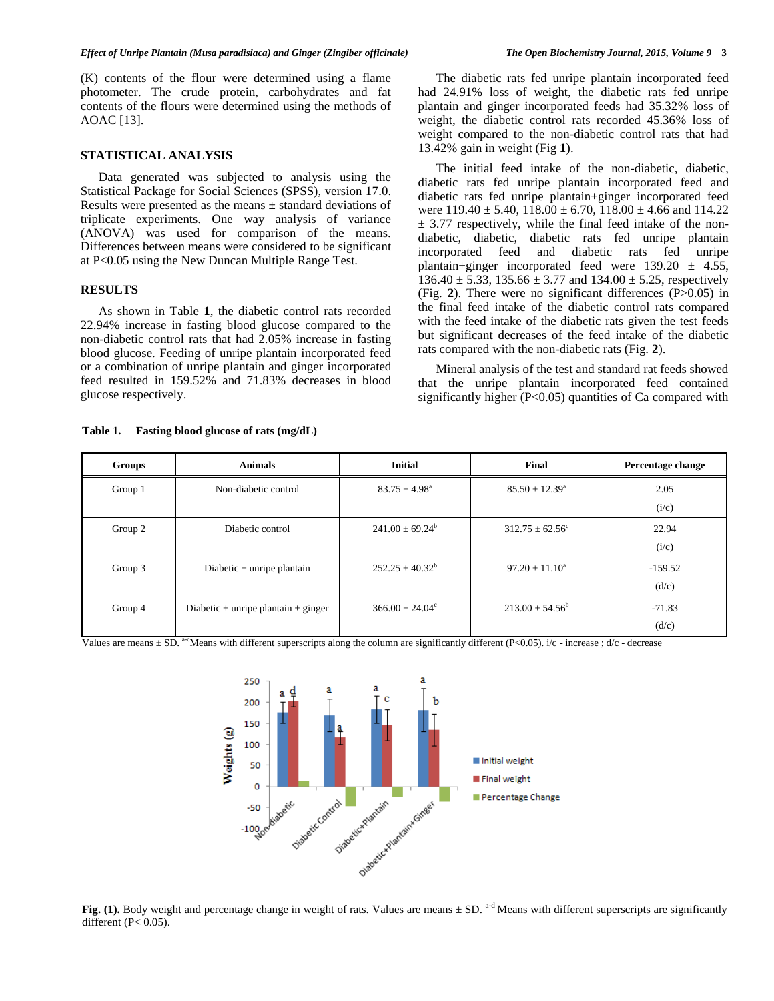#### *Effect of Unripe Plantain (Musa paradisiaca) and Ginger (Zingiber officinale) The Open Biochemistry Journal, 2015, Volume 9* **3**

(K) contents of the flour were determined using a flame photometer. The crude protein, carbohydrates and fat contents of the flours were determined using the methods of AOAC [13].

## **STATISTICAL ANALYSIS**

 Data generated was subjected to analysis using the Statistical Package for Social Sciences (SPSS), version 17.0. Results were presented as the means  $\pm$  standard deviations of triplicate experiments. One way analysis of variance (ANOVA) was used for comparison of the means. Differences between means were considered to be significant at P<0.05 using the New Duncan Multiple Range Test.

## **RESULTS**

 As shown in Table **1**, the diabetic control rats recorded 22.94% increase in fasting blood glucose compared to the non-diabetic control rats that had 2.05% increase in fasting blood glucose. Feeding of unripe plantain incorporated feed or a combination of unripe plantain and ginger incorporated feed resulted in 159.52% and 71.83% decreases in blood glucose respectively.

 The diabetic rats fed unripe plantain incorporated feed had 24.91% loss of weight, the diabetic rats fed unripe plantain and ginger incorporated feeds had 35.32% loss of weight, the diabetic control rats recorded 45.36% loss of weight compared to the non-diabetic control rats that had 13.42% gain in weight (Fig **1**).

 The initial feed intake of the non-diabetic, diabetic, diabetic rats fed unripe plantain incorporated feed and diabetic rats fed unripe plantain+ginger incorporated feed were  $119.40 \pm 5.40$ ,  $118.00 \pm 6.70$ ,  $118.00 \pm 4.66$  and  $114.22$  $\pm$  3.77 respectively, while the final feed intake of the nondiabetic, diabetic, diabetic rats fed unripe plantain incorporated feed and diabetic rats fed unripe plantain+ginger incorporated feed were  $139.20 \pm 4.55$ ,  $136.40 \pm 5.33$ ,  $135.66 \pm 3.77$  and  $134.00 \pm 5.25$ , respectively (Fig. **2**). There were no significant differences (P>0.05) in the final feed intake of the diabetic control rats compared with the feed intake of the diabetic rats given the test feeds but significant decreases of the feed intake of the diabetic rats compared with the non-diabetic rats (Fig. **2**).

 Mineral analysis of the test and standard rat feeds showed that the unripe plantain incorporated feed contained significantly higher (P<0.05) quantities of Ca compared with

| Groups  | <b>Animals</b>                      | <b>Initial</b>           | Final                     | Percentage change  |
|---------|-------------------------------------|--------------------------|---------------------------|--------------------|
| Group 1 | Non-diabetic control                | $83.75 \pm 4.98^{\circ}$ | $85.50 \pm 12.39^{\circ}$ | 2.05<br>(i/c)      |
| Group 2 | Diabetic control                    | $241.00 + 69.24^b$       | $312.75 + 62.56^{\circ}$  | 22.94<br>(i/c)     |
| Group 3 | Diabetic $+$ unripe plantain        | $252.25 + 40.32^b$       | $97.20 + 11.10^a$         | $-159.52$<br>(d/c) |
| Group 4 | Diabetic + unripe plantain + ginger | $366.00 + 24.04^{\circ}$ | $213.00 + 54.56^b$        | $-71.83$<br>(d/c)  |

Values are means  $\pm$  SD. <sup>a-c</sup>Means with different superscripts along the column are significantly different (P<0.05). i/c - increase ; d/c - decrease



**Fig.** (1). Body weight and percentage change in weight of rats. Values are means  $\pm$  SD. <sup>a-d</sup> Means with different superscripts are significantly different ( $P < 0.05$ ).

## **Table 1. Fasting blood glucose of rats (mg/dL)**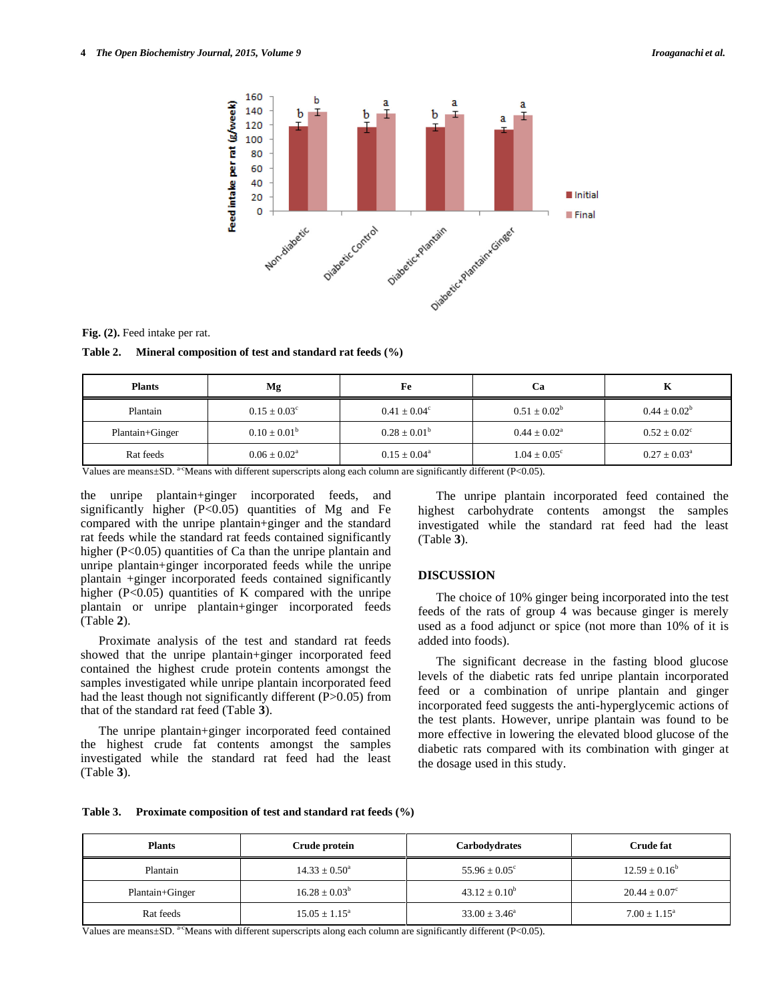

**Fig. (2).** Feed intake per rat.

**Table 2. Mineral composition of test and standard rat feeds (%)**

| <b>Plants</b>   | Mg                         | Fe                      | Ca                      | A                       |
|-----------------|----------------------------|-------------------------|-------------------------|-------------------------|
| Plantain        | $0.15 \pm 0.03^{\circ}$    | $0.41 \pm 0.04^{\circ}$ | $0.51 \pm 0.02^b$       | $0.44 \pm 0.02^b$       |
| Plantain+Ginger | $0.10 \pm 0.01^{\rm b}$    | $0.28 \pm 0.01^{\rm b}$ | $0.44 + 0.02^a$         | $0.52 \pm 0.02^{\circ}$ |
| Rat feeds       | $0.06 \pm 0.02^{\text{a}}$ | $0.15 + 0.04^a$         | $1.04 \pm 0.05^{\circ}$ | $0.27 \pm 0.03^{\circ}$ |

Values are means±SD. <sup>a-c</sup>Means with different superscripts along each column are significantly different (P<0.05).

the unripe plantain+ginger incorporated feeds, and significantly higher  $(P<0.05)$  quantities of Mg and Fe compared with the unripe plantain+ginger and the standard rat feeds while the standard rat feeds contained significantly higher (P<0.05) quantities of Ca than the unripe plantain and unripe plantain+ginger incorporated feeds while the unripe plantain +ginger incorporated feeds contained significantly higher  $(P<0.05)$  quantities of K compared with the unripe plantain or unripe plantain+ginger incorporated feeds (Table **2**).

 Proximate analysis of the test and standard rat feeds showed that the unripe plantain+ginger incorporated feed contained the highest crude protein contents amongst the samples investigated while unripe plantain incorporated feed had the least though not significantly different (P>0.05) from that of the standard rat feed (Table **3**).

 The unripe plantain+ginger incorporated feed contained the highest crude fat contents amongst the samples investigated while the standard rat feed had the least (Table **3**).

 The unripe plantain incorporated feed contained the highest carbohydrate contents amongst the samples investigated while the standard rat feed had the least (Table **3**).

# **DISCUSSION**

 The choice of 10% ginger being incorporated into the test feeds of the rats of group 4 was because ginger is merely used as a food adjunct or spice (not more than 10% of it is added into foods).

 The significant decrease in the fasting blood glucose levels of the diabetic rats fed unripe plantain incorporated feed or a combination of unripe plantain and ginger incorporated feed suggests the anti-hyperglycemic actions of the test plants. However, unripe plantain was found to be more effective in lowering the elevated blood glucose of the diabetic rats compared with its combination with ginger at the dosage used in this study.

| <b>Table 3.</b> | Proximate composition of test and standard rat feeds (%) |
|-----------------|----------------------------------------------------------|
|-----------------|----------------------------------------------------------|

| <b>Plants</b>   | Crude protein            | <b>Carbodydrates</b>     | <b>Crude fat</b>         |
|-----------------|--------------------------|--------------------------|--------------------------|
| Plantain        | $14.33 \pm 0.50^{\circ}$ | $55.96 \pm 0.05^{\circ}$ | $12.59 \pm 0.16^b$       |
| Plantain+Ginger | $16.28 \pm 0.03^b$       | $43.12 \pm 0.10^b$       | $20.44 \pm 0.07^{\circ}$ |
| Rat feeds       | $15.05 \pm 1.15^{\circ}$ | $33.00 \pm 3.46^{\circ}$ | $7.00 + 1.15^a$          |

Values are means $\pm$ SD. <sup>a-c</sup>Means with different superscripts along each column are significantly different (P<0.05).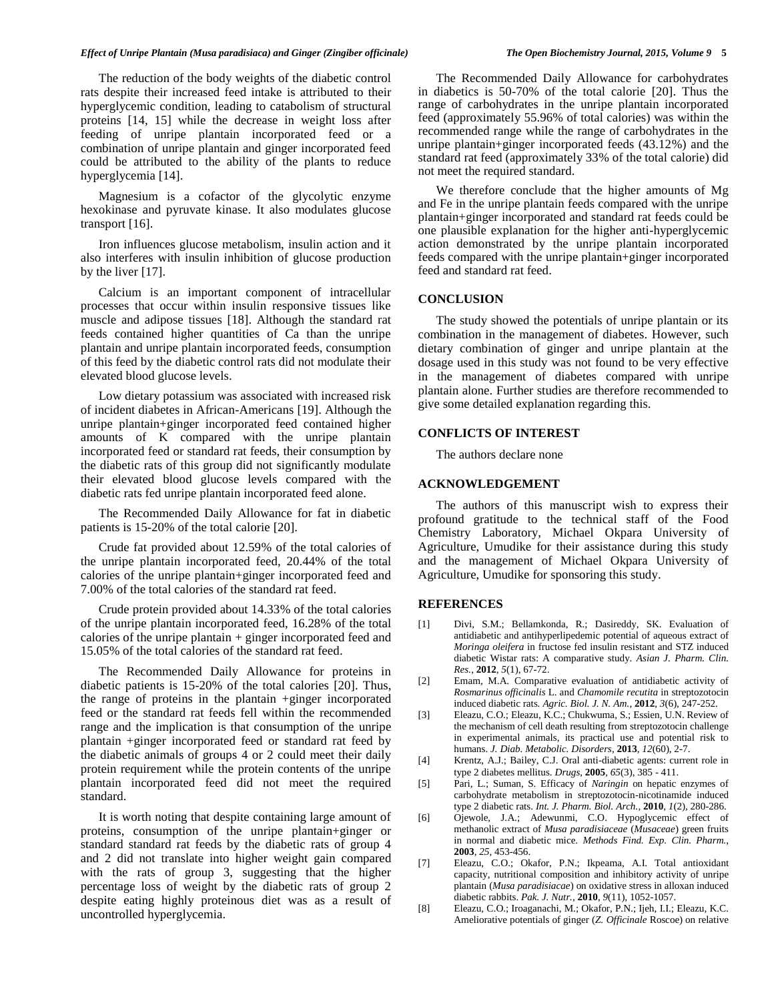#### *Effect of Unripe Plantain (Musa paradisiaca) and Ginger (Zingiber officinale) The Open Biochemistry Journal, 2015, Volume 9* **5**

The reduction of the body weights of the diabetic control rats despite their increased feed intake is attributed to their hyperglycemic condition, leading to catabolism of structural proteins [14, 15] while the decrease in weight loss after feeding of unripe plantain incorporated feed or a combination of unripe plantain and ginger incorporated feed could be attributed to the ability of the plants to reduce hyperglycemia [14].

Magnesium is a cofactor of the glycolytic enzyme hexokinase and pyruvate kinase. It also modulates glucose transport [16].

Iron influences glucose metabolism, insulin action and it also interferes with insulin inhibition of glucose production by the liver [17].

Calcium is an important component of intracellular processes that occur within insulin responsive tissues like muscle and adipose tissues [18]. Although the standard rat feeds contained higher quantities of Ca than the unripe plantain and unripe plantain incorporated feeds, consumption of this feed by the diabetic control rats did not modulate their elevated blood glucose levels.

Low dietary potassium was associated with increased risk of incident diabetes in African-Americans [19]. Although the unripe plantain+ginger incorporated feed contained higher amounts of K compared with the unripe plantain incorporated feed or standard rat feeds, their consumption by the diabetic rats of this group did not significantly modulate their elevated blood glucose levels compared with the diabetic rats fed unripe plantain incorporated feed alone.

The Recommended Daily Allowance for fat in diabetic patients is 15-20% of the total calorie [20].

Crude fat provided about 12.59% of the total calories of the unripe plantain incorporated feed, 20.44% of the total calories of the unripe plantain+ginger incorporated feed and 7.00% of the total calories of the standard rat feed.

Crude protein provided about 14.33% of the total calories of the unripe plantain incorporated feed, 16.28% of the total calories of the unripe plantain + ginger incorporated feed and 15.05% of the total calories of the standard rat feed.

The Recommended Daily Allowance for proteins in diabetic patients is 15-20% of the total calories [20]. Thus, the range of proteins in the plantain +ginger incorporated feed or the standard rat feeds fell within the recommended range and the implication is that consumption of the unripe plantain +ginger incorporated feed or standard rat feed by the diabetic animals of groups 4 or 2 could meet their daily protein requirement while the protein contents of the unripe plantain incorporated feed did not meet the required standard.

It is worth noting that despite containing large amount of proteins, consumption of the unripe plantain+ginger or standard standard rat feeds by the diabetic rats of group 4 and 2 did not translate into higher weight gain compared with the rats of group 3, suggesting that the higher percentage loss of weight by the diabetic rats of group 2 despite eating highly proteinous diet was as a result of uncontrolled hyperglycemia.

The Recommended Daily Allowance for carbohydrates in diabetics is 50-70% of the total calorie [20]. Thus the range of carbohydrates in the unripe plantain incorporated feed (approximately 55.96% of total calories) was within the recommended range while the range of carbohydrates in the unripe plantain+ginger incorporated feeds (43.12%) and the standard rat feed (approximately 33% of the total calorie) did not meet the required standard.

We therefore conclude that the higher amounts of Mg and Fe in the unripe plantain feeds compared with the unripe plantain+ginger incorporated and standard rat feeds could be one plausible explanation for the higher anti-hyperglycemic action demonstrated by the unripe plantain incorporated feeds compared with the unripe plantain+ginger incorporated feed and standard rat feed.

## **CONCLUSION**

The study showed the potentials of unripe plantain or its combination in the management of diabetes. However, such dietary combination of ginger and unripe plantain at the dosage used in this study was not found to be very effective in the management of diabetes compared with unripe plantain alone. Further studies are therefore recommended to give some detailed explanation regarding this.

### **CONFLICTS OF INTEREST**

The authors declare none

#### **ACKNOWLEDGEMENT**

The authors of this manuscript wish to express their profound gratitude to the technical staff of the Food Chemistry Laboratory, Michael Okpara University of Agriculture, Umudike for their assistance during this study and the management of Michael Okpara University of Agriculture, Umudike for sponsoring this study.

## **REFERENCES**

- [1] Divi, S.M.; Bellamkonda, R.; Dasireddy, SK. Evaluation of antidiabetic and antihyperlipedemic potential of aqueous extract of *Moringa oleifera* in fructose fed insulin resistant and STZ induced diabetic Wistar rats: A comparative study. *Asian J. Pharm. Clin. Res.*, **2012**, *5*(1), 67-72.
- [2] Emam, M.A. Comparative evaluation of antidiabetic activity of *Rosmarinus officinalis* L. and *Chamomile recutita* in streptozotocin induced diabetic rats. *Agric. Biol. J. N. Am.*, **2012**, *3*(6), 247-252.
- [3] Eleazu, C.O.; Eleazu, K.C.; Chukwuma, S.; Essien, U.N. Review of the mechanism of cell death resulting from streptozotocin challenge in experimental animals, its practical use and potential risk to humans. *J. Diab. Metabolic. Disorders*, **2013**, *12*(60), 2-7.
- [4] Krentz, A.J.; Bailey, C.J. Oral anti-diabetic agents: current role in type 2 diabetes mellitus. *Drugs*, **2005**, *65*(3), 385 - 411.
- [5] Pari, L.; Suman, S. Efficacy of *Naringin* on hepatic enzymes of carbohydrate metabolism in streptozotocin-nicotinamide induced type 2 diabetic rats. *Int. J. Pharm. Biol. Arch.*, **2010**, *1*(2), 280-286.
- [6] Ojewole, J.A.; Adewunmi, C.O. Hypoglycemic effect of methanolic extract of *Musa paradisiaceae* (*Musaceae*) green fruits in normal and diabetic mice. *Methods Find. Exp. Clin. Pharm.*, **2003**, *25*, 453-456.
- [7] Eleazu, C.O.; Okafor, P.N.; Ikpeama, A.I. Total antioxidant capacity, nutritional composition and inhibitory activity of unripe plantain (*Musa paradisiacae*) on oxidative stress in alloxan induced diabetic rabbits. *Pak. J. Nutr.*, **2010**, *9*(11), 1052-1057.
- [8] Eleazu, C.O.; Iroaganachi, M.; Okafor, P.N.; Ijeh, I.I.; Eleazu, K.C. Ameliorative potentials of ginger (*Z. Officinale* Roscoe) on relative